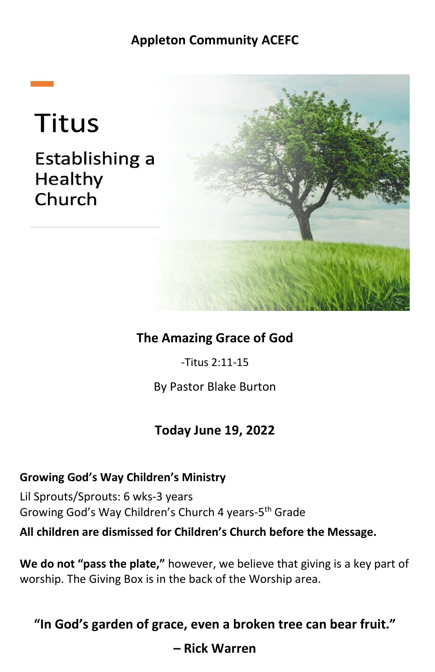## **Appleton Community ACEFC**

# **Titus**

## Establishing a Healthy Church



## **The Amazing Grace of God**

-Titus 2:11-15

By Pastor Blake Burton

## **Today June 19, 2022**

### **Growing God's Way Children's Ministry**

Lil Sprouts/Sprouts: 6 wks-3 years Growing God's Way Children's Church 4 years-5th Grade

**All children are dismissed for Children's Church before the Message.**

**We do not "pass the plate,"** however, we believe that giving is a key part of worship. The Giving Box is in the back of the Worship area.

**"In God's garden of grace, even a broken tree can bear fruit."** 

**– Rick Warren**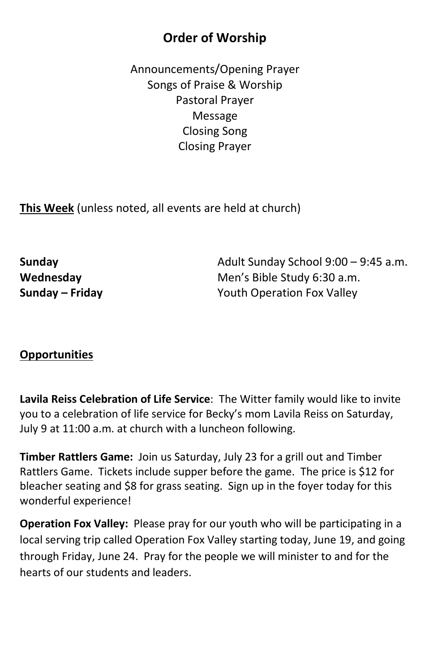## **Order of Worship**

Announcements/Opening Prayer Songs of Praise & Worship Pastoral Prayer Message Closing Song Closing Prayer

**This Week** (unless noted, all events are held at church)

**Sunday Sunday Sunday Adult Sunday School 9:00 – 9:45 a.m. Wednesday** Men's Bible Study 6:30 a.m. **Sunday – Friday Mateurer 19 Sunday – Friday Youth Operation Fox Valley** 

#### **Opportunities**

**Lavila Reiss Celebration of Life Service**: The Witter family would like to invite you to a celebration of life service for Becky's mom Lavila Reiss on Saturday, July 9 at 11:00 a.m. at church with a luncheon following.

**Timber Rattlers Game:** Join us Saturday, July 23 for a grill out and Timber Rattlers Game. Tickets include supper before the game. The price is \$12 for bleacher seating and \$8 for grass seating. Sign up in the foyer today for this wonderful experience!

**Operation Fox Valley:** Please pray for our youth who will be participating in a local serving trip called Operation Fox Valley starting today, June 19, and going through Friday, June 24. Pray for the people we will minister to and for the hearts of our students and leaders.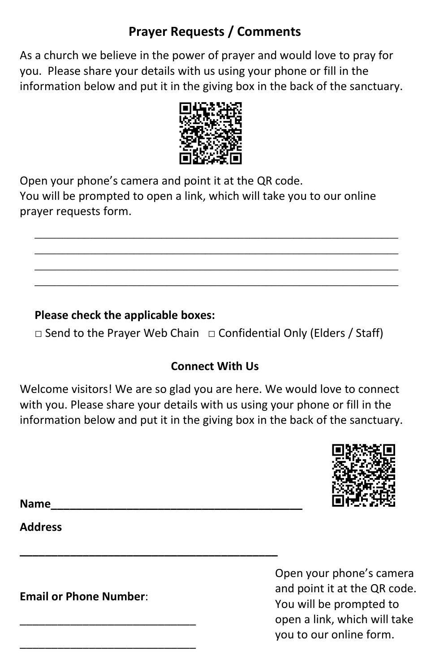## **Prayer Requests / Comments**

As a church we believe in the power of prayer and would love to pray for you. Please share your details with us using your phone or fill in the information below and put it in the giving box in the back of the sanctuary.



Open your phone's camera and point it at the QR code. You will be prompted to open a link, which will take you to our online prayer requests form.

\_\_\_\_\_\_\_\_\_\_\_\_\_\_\_\_\_\_\_\_\_\_\_\_\_\_\_\_\_\_\_\_\_\_\_\_\_\_\_\_\_\_\_\_\_\_\_\_\_\_\_\_\_\_\_\_\_\_\_\_\_\_\_\_\_\_ \_\_\_\_\_\_\_\_\_\_\_\_\_\_\_\_\_\_\_\_\_\_\_\_\_\_\_\_\_\_\_\_\_\_\_\_\_\_\_\_\_\_\_\_\_\_\_\_\_\_\_\_\_\_\_\_\_\_\_\_\_\_\_\_\_\_ \_\_\_\_\_\_\_\_\_\_\_\_\_\_\_\_\_\_\_\_\_\_\_\_\_\_\_\_\_\_\_\_\_\_\_\_\_\_\_\_\_\_\_\_\_\_\_\_\_\_\_\_\_\_\_\_\_\_\_\_\_\_\_\_\_\_ \_\_\_\_\_\_\_\_\_\_\_\_\_\_\_\_\_\_\_\_\_\_\_\_\_\_\_\_\_\_\_\_\_\_\_\_\_\_\_\_\_\_\_\_\_\_\_\_\_\_\_\_\_\_\_\_\_\_\_\_\_\_\_\_\_\_

## **Please check the applicable boxes:**

**\_\_\_\_\_\_\_\_\_\_\_\_\_\_\_\_\_\_\_\_\_\_\_\_\_\_\_\_\_\_\_\_\_\_\_\_\_\_\_\_\_**

 $\Box$  Send to the Prayer Web Chain  $\Box$  Confidential Only (Elders / Staff)

## **Connect With Us**

Welcome visitors! We are so glad you are here. We would love to connect with you. Please share your details with us using your phone or fill in the information below and put it in the giving box in the back of the sanctuary.



**Name\_\_\_\_\_\_\_\_\_\_\_\_\_\_\_\_\_\_\_\_\_\_\_\_\_\_\_\_\_\_\_\_\_\_\_\_\_\_\_\_** 

**Address** 

**Email or Phone Number**:

\_\_\_\_\_\_\_\_\_\_\_\_\_\_\_\_\_\_\_\_\_\_\_\_\_\_\_\_

\_\_\_\_\_\_\_\_\_\_\_\_\_\_\_\_\_\_\_\_\_\_\_\_\_\_\_\_

Open your phone's camera and point it at the QR code. You will be prompted to open a link, which will take you to our online form.